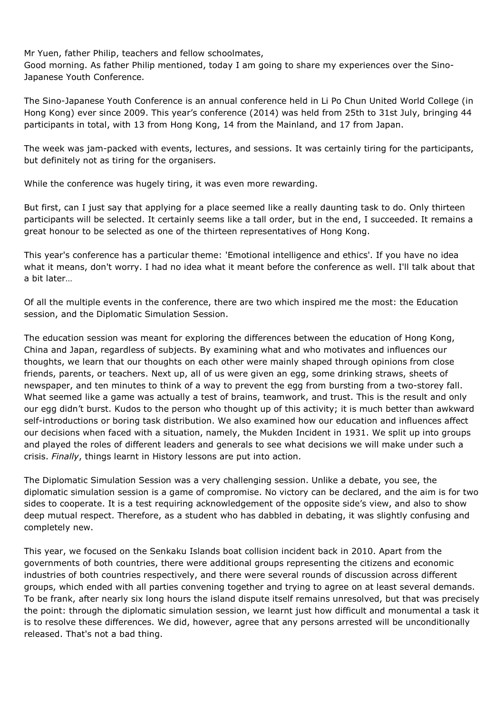Mr Yuen, father Philip, teachers and fellow schoolmates,

Good morning. As father Philip mentioned, today I am going to share my experiences over the Sino-Japanese Youth Conference.

The Sino-Japanese Youth Conference is an annual conference held in Li Po Chun United World College (in Hong Kong) ever since 2009. This year's conference (2014) was held from 25th to 31st July, bringing 44 participants in total, with 13 from Hong Kong, 14 from the Mainland, and 17 from Japan.

The week was jam-packed with events, lectures, and sessions. It was certainly tiring for the participants, but definitely not as tiring for the organisers.

While the conference was hugely tiring, it was even more rewarding.

But first, can I just say that applying for a place seemed like a really daunting task to do. Only thirteen participants will be selected. It certainly seems like a tall order, but in the end, I succeeded. It remains a great honour to be selected as one of the thirteen representatives of Hong Kong.

This year's conference has a particular theme: 'Emotional intelligence and ethics'. If you have no idea what it means, don't worry. I had no idea what it meant before the conference as well. I'll talk about that a bit later…

Of all the multiple events in the conference, there are two which inspired me the most: the Education session, and the Diplomatic Simulation Session.

The education session was meant for exploring the differences between the education of Hong Kong, China and Japan, regardless of subjects. By examining what and who motivates and influences our thoughts, we learn that our thoughts on each other were mainly shaped through opinions from close friends, parents, or teachers. Next up, all of us were given an egg, some drinking straws, sheets of newspaper, and ten minutes to think of a way to prevent the egg from bursting from a two-storey fall. What seemed like a game was actually a test of brains, teamwork, and trust. This is the result and only our egg didn't burst. Kudos to the person who thought up of this activity; it is much better than awkward self-introductions or boring task distribution. We also examined how our education and influences affect our decisions when faced with a situation, namely, the Mukden Incident in 1931. We split up into groups and played the roles of different leaders and generals to see what decisions we will make under such a crisis. Finally, things learnt in History lessons are put into action.

The Diplomatic Simulation Session was a very challenging session. Unlike a debate, you see, the diplomatic simulation session is a game of compromise. No victory can be declared, and the aim is for two sides to cooperate. It is a test requiring acknowledgement of the opposite side's view, and also to show deep mutual respect. Therefore, as a student who has dabbled in debating, it was slightly confusing and completely new.

This year, we focused on the Senkaku Islands boat collision incident back in 2010. Apart from the governments of both countries, there were additional groups representing the citizens and economic industries of both countries respectively, and there were several rounds of discussion across different groups, which ended with all parties convening together and trying to agree on at least several demands. To be frank, after nearly six long hours the island dispute itself remains unresolved, but that was precisely the point: through the diplomatic simulation session, we learnt just how difficult and monumental a task it is to resolve these differences. We did, however, agree that any persons arrested will be unconditionally released. That's not a bad thing.